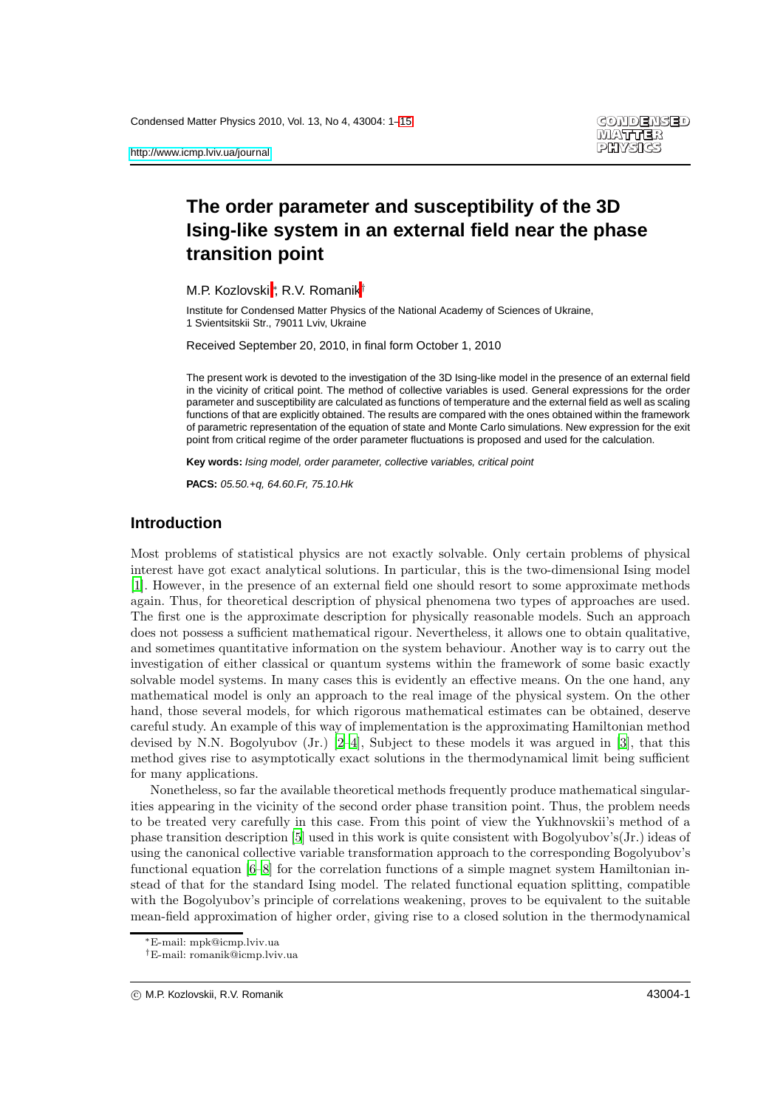# **The order parameter and susceptibility of the 3D Ising-like system in an external field near the phase transition point**

M.P. Kozlovskii\*, R.V. Romanik<sup>†</sup>

Institute for Condensed Matter Physics of the National Academy of Sciences of Ukraine, 1 Svientsitskii Str., 79011 Lviv, Ukraine

Received September 20, 2010, in final form October 1, 2010

The present work is devoted to the investigation of the 3D Ising-like model in the presence of an external field in the vicinity of critical point. The method of collective variables is used. General expressions for the order parameter and susceptibility are calculated as functions of temperature and the external field as well as scaling functions of that are explicitly obtained. The results are compared with the ones obtained within the framework of parametric representation of the equation of state and Monte Carlo simulations. New expression for the exit point from critical regime of the order parameter fluctuations is proposed and used for the calculation.

**Key words:** Ising model, order parameter, collective variables, critical point

**PACS:** 05.50.+q, 64.60.Fr, 75.10.Hk

### **Introduction**

Most problems of statistical physics are not exactly solvable. Only certain problems of physical interest have got exact analytical solutions. In particular, this is the two-dimensional Ising model [\[1\]](#page-14-1). However, in the presence of an external field one should resort to some approximate methods again. Thus, for theoretical description of physical phenomena two types of approaches are used. The first one is the approximate description for physically reasonable models. Such an approach does not possess a sufficient mathematical rigour. Nevertheless, it allows one to obtain qualitative, and sometimes quantitative information on the system behaviour. Another way is to carry out the investigation of either classical or quantum systems within the framework of some basic exactly solvable model systems. In many cases this is evidently an effective means. On the one hand, any mathematical model is only an approach to the real image of the physical system. On the other hand, those several models, for which rigorous mathematical estimates can be obtained, deserve careful study. An example of this way of implementation is the approximating Hamiltonian method devised by N.N. Bogolyubov (Jr.) [\[2](#page-14-2)[–4](#page-14-3)], Subject to these models it was argued in [\[3](#page-14-4)], that this method gives rise to asymptotically exact solutions in the thermodynamical limit being sufficient for many applications.

Nonetheless, so far the available theoretical methods frequently produce mathematical singularities appearing in the vicinity of the second order phase transition point. Thus, the problem needs to be treated very carefully in this case. From this point of view the Yukhnovskii's method of a phase transition description [\[5](#page-14-5)] used in this work is quite consistent with Bogolyubov's(Jr.) ideas of using the canonical collective variable transformation approach to the corresponding Bogolyubov's functional equation  $[6-8]$  for the correlation functions of a simple magnet system Hamiltonian instead of that for the standard Ising model. The related functional equation splitting, compatible with the Bogolyubov's principle of correlations weakening, proves to be equivalent to the suitable mean-field approximation of higher order, giving rise to a closed solution in the thermodynamical

<sup>∗</sup>E-mail: mpk@icmp.lviv.ua

<sup>†</sup>E-mail: romanik@icmp.lviv.ua

c M.P. Kozlovskii, R.V. Romanik 43004-1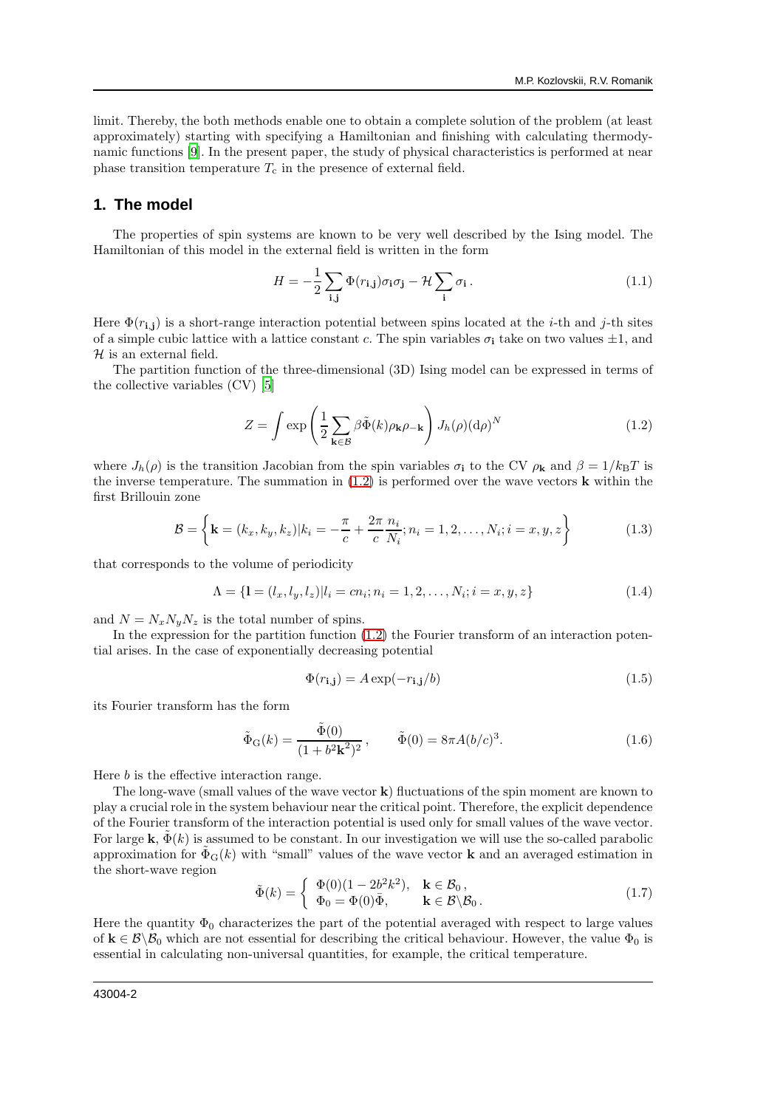limit. Thereby, the both methods enable one to obtain a complete solution of the problem (at least approximately) starting with specifying a Hamiltonian and finishing with calculating thermodynamic functions [\[9\]](#page-14-8). In the present paper, the study of physical characteristics is performed at near phase transition temperature  $T_c$  in the presence of external field.

### **1. The model**

The properties of spin systems are known to be very well described by the Ising model. The Hamiltonian of this model in the external field is written in the form

$$
H = -\frac{1}{2} \sum_{\mathbf{i}, \mathbf{j}} \Phi(r_{\mathbf{i}, \mathbf{j}}) \sigma_{\mathbf{i}} \sigma_{\mathbf{j}} - \mathcal{H} \sum_{\mathbf{i}} \sigma_{\mathbf{i}} \,. \tag{1.1}
$$

Here  $\Phi(r_{i,j})$  is a short-range interaction potential between spins located at the *i*-th and *j*-th sites of a simple cubic lattice with a lattice constant c. The spin variables  $\sigma_i$  take on two values  $\pm 1$ , and  $H$  is an external field.

The partition function of the three-dimensional (3D) Ising model can be expressed in terms of the collective variables (CV) [\[5](#page-14-5)]

<span id="page-1-0"></span>
$$
Z = \int \exp\left(\frac{1}{2} \sum_{\mathbf{k} \in \mathcal{B}} \beta \tilde{\Phi}(k) \rho_{\mathbf{k}} \rho_{-\mathbf{k}}\right) J_h(\rho) (d\rho)^N
$$
(1.2)

where  $J_h(\rho)$  is the transition Jacobian from the spin variables  $\sigma_i$  to the CV  $\rho_k$  and  $\beta = 1/k_BT$  is the inverse temperature. The summation in  $(1.2)$  is performed over the wave vectors **k** within the first Brillouin zone

$$
\mathcal{B} = \left\{ \mathbf{k} = (k_x, k_y, k_z) | k_i = -\frac{\pi}{c} + \frac{2\pi}{c} \frac{n_i}{N_i}; n_i = 1, 2, \dots, N_i; i = x, y, z \right\}
$$
(1.3)

that corresponds to the volume of periodicity

$$
\Lambda = \{ \mathbf{l} = (l_x, l_y, l_z) | l_i = cn_i; n_i = 1, 2, \dots, N_i; i = x, y, z \}
$$
\n(1.4)

and  $N = N_x N_y N_z$  is the total number of spins.

In the expression for the partition function  $(1.2)$  the Fourier transform of an interaction potential arises. In the case of exponentially decreasing potential

<span id="page-1-2"></span>
$$
\Phi(r_{\mathbf{i},\mathbf{j}}) = A \exp(-r_{\mathbf{i},\mathbf{j}}/b) \tag{1.5}
$$

its Fourier transform has the form

<span id="page-1-1"></span>
$$
\tilde{\Phi}_{G}(k) = \frac{\tilde{\Phi}(0)}{(1 + b^2 \mathbf{k}^2)^2}, \qquad \tilde{\Phi}(0) = 8\pi A (b/c)^3.
$$
\n(1.6)

Here b is the effective interaction range.

The long-wave (small values of the wave vector k) fluctuations of the spin moment are known to play a crucial role in the system behaviour near the critical point. Therefore, the explicit dependence of the Fourier transform of the interaction potential is used only for small values of the wave vector. For large k,  $\tilde{\Phi}(k)$  is assumed to be constant. In our investigation we will use the so-called parabolic approximation for  $\Phi_G(k)$  with "small" values of the wave vector **k** and an averaged estimation in the short-wave region

<span id="page-1-3"></span>
$$
\tilde{\Phi}(k) = \begin{cases}\n\Phi(0)(1 - 2b^2k^2), & \mathbf{k} \in \mathcal{B}_0, \\
\Phi_0 = \Phi(0)\bar{\Phi}, & \mathbf{k} \in \mathcal{B} \setminus \mathcal{B}_0.\n\end{cases}
$$
\n(1.7)

Here the quantity  $\Phi_0$  characterizes the part of the potential averaged with respect to large values of  $\mathbf{k} \in \mathcal{B}\setminus\mathcal{B}_0$  which are not essential for describing the critical behaviour. However, the value  $\Phi_0$  is essential in calculating non-universal quantities, for example, the critical temperature.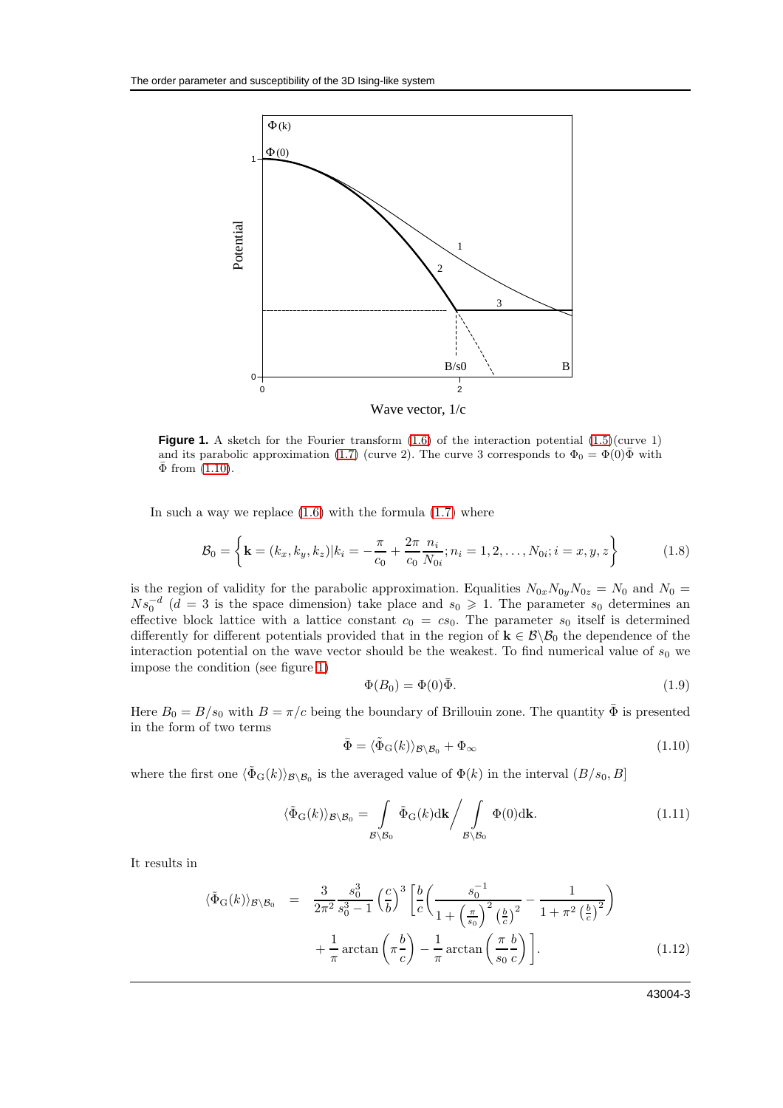

<span id="page-2-1"></span>**Figure 1.** A sketch for the Fourier transform  $(1.6)$  of the interaction potential  $(1.5)(curve 1)$ and its parabolic approximation [\(1.7\)](#page-1-3) (curve 2). The curve 3 corresponds to  $\Phi_0 = \Phi(0)\bar{\Phi}$  with  $\bar{\Phi}$  from  $(1.10)$ .

In such a way we replace  $(1.6)$  with the formula  $(1.7)$  where

$$
\mathcal{B}_0 = \left\{ \mathbf{k} = (k_x, k_y, k_z) | k_i = -\frac{\pi}{c_0} + \frac{2\pi}{c_0} \frac{n_i}{N_{0i}}; n_i = 1, 2, \dots, N_{0i}; i = x, y, z \right\}
$$
(1.8)

is the region of validity for the parabolic approximation. Equalities  $N_{0x}N_{0y}N_{0z} = N_0$  and  $N_0 =$  $Ns_0^{-d}$  ( $d=3$  is the space dimension) take place and  $s_0 \geq 1$ . The parameter  $s_0$  determines an effective block lattice with a lattice constant  $c_0 = cs_0$ . The parameter  $s_0$  itself is determined differently for different potentials provided that in the region of  $\mathbf{k} \in \mathcal{B} \setminus \mathcal{B}_0$  the dependence of the interaction potential on the wave vector should be the weakest. To find numerical value of  $s_0$  we impose the condition (see figure [1\)](#page-2-1)

<span id="page-2-2"></span>
$$
\Phi(B_0) = \Phi(0)\bar{\Phi}.\tag{1.9}
$$

Here  $B_0 = B/s_0$  with  $B = \pi/c$  being the boundary of Brillouin zone. The quantity  $\bar{\Phi}$  is presented in the form of two terms

<span id="page-2-0"></span>
$$
\bar{\Phi} = \langle \tilde{\Phi}_{\mathrm{G}}(k) \rangle_{\mathcal{B} \backslash \mathcal{B}_0} + \Phi_{\infty} \tag{1.10}
$$

where the first one  $\langle \tilde{\Phi}_{G}(k)\rangle_{\mathcal{B}\setminus\mathcal{B}_0}$  is the averaged value of  $\Phi(k)$  in the interval  $(B/s_0, B]$ 

$$
\langle \tilde{\Phi}_{G}(k) \rangle_{\mathcal{B} \setminus \mathcal{B}_{0}} = \int_{\mathcal{B} \setminus \mathcal{B}_{0}} \tilde{\Phi}_{G}(k) dk \Big/ \int_{\mathcal{B} \setminus \mathcal{B}_{0}} \Phi(0) d\mathbf{k}.
$$
 (1.11)

It results in

$$
\langle \tilde{\Phi}_{G}(k) \rangle_{\mathcal{B} \setminus \mathcal{B}_{0}} = \frac{3}{2\pi^{2}} \frac{s_{0}^{3}}{s_{0}^{3} - 1} \left(\frac{c}{b}\right)^{3} \left[\frac{b}{c} \left(\frac{s_{0}^{-1}}{1 + \left(\frac{\pi}{s_{0}}\right)^{2} \left(\frac{b}{c}\right)^{2}} - \frac{1}{1 + \pi^{2} \left(\frac{b}{c}\right)^{2}}\right) + \frac{1}{\pi} \arctan\left(\pi \frac{b}{c}\right) - \frac{1}{\pi} \arctan\left(\frac{\pi}{s_{0}} \frac{b}{c}\right)\right].
$$
\n(1.12)

43004-3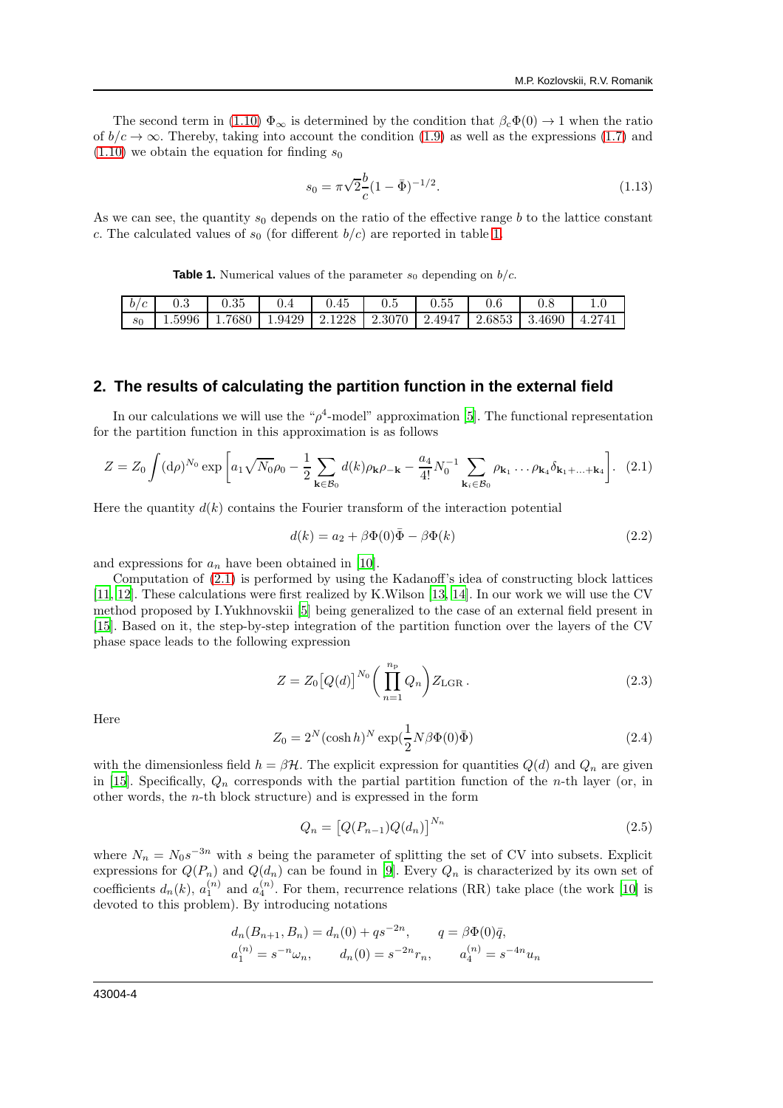The second term in [\(1.10\)](#page-2-0)  $\Phi_{\infty}$  is determined by the condition that  $\beta_c\Phi(0) \rightarrow 1$  when the ratio of  $b/c \to \infty$ . Thereby, taking into account the condition [\(1.9\)](#page-2-2) as well as the expressions [\(1.7\)](#page-1-3) and  $(1.10)$  we obtain the equation for finding  $s_0$ 

<span id="page-3-2"></span>
$$
s_0 = \pi \sqrt{2} \frac{b}{c} (1 - \bar{\Phi})^{-1/2}.
$$
 (1.13)

As we can see, the quantity  $s_0$  depends on the ratio of the effective range b to the lattice constant c. The calculated values of  $s_0$  (for different  $b/c$ ) are reported in table [1.](#page-3-0)

<span id="page-3-0"></span>**Table 1.** Numerical values of the parameter  $s_0$  depending on  $b/c$ .

| b/c   | በ የ    | 0.35 |                                                              | U.45 | $0.5\,$ | J.55 |  |        |
|-------|--------|------|--------------------------------------------------------------|------|---------|------|--|--------|
| $s_0$ | 1.5996 |      | 1.7680   1.9429   2.1228   2.3070   2.4947   2.6853   3.4690 |      |         |      |  | 4.2741 |

### **2. The results of calculating the partition function in the external field**

In our calculations we will use the " $\rho^4$ -model" approximation [\[5\]](#page-14-5). The functional representation for the partition function in this approximation is as follows

<span id="page-3-1"></span>
$$
Z = Z_0 \int (\mathrm{d}\rho)^{N_0} \exp\left[a_1 \sqrt{N_0} \rho_0 - \frac{1}{2} \sum_{\mathbf{k} \in \mathcal{B}_0} d(k) \rho_{\mathbf{k}} \rho_{-\mathbf{k}} - \frac{a_4}{4!} N_0^{-1} \sum_{\mathbf{k}_i \in \mathcal{B}_0} \rho_{\mathbf{k}_1} \dots \rho_{\mathbf{k}_4} \delta_{\mathbf{k}_1 + \dots + \mathbf{k}_4}\right]. \tag{2.1}
$$

Here the quantity  $d(k)$  contains the Fourier transform of the interaction potential

$$
d(k) = a_2 + \beta \Phi(0)\overline{\Phi} - \beta \Phi(k) \tag{2.2}
$$

and expressions for  $a_n$  have been obtained in [\[10](#page-14-9)].

Computation of [\(2.1\)](#page-3-1) is performed by using the Kadanoff's idea of constructing block lattices [\[11,](#page-14-10) [12](#page-14-11)]. These calculations were first realized by K.Wilson [\[13](#page-14-12), [14\]](#page-14-13). In our work we will use the CV method proposed by I.Yukhnovskii [\[5\]](#page-14-5) being generalized to the case of an external field present in [\[15\]](#page-14-14). Based on it, the step-by-step integration of the partition function over the layers of the CV phase space leads to the following expression

<span id="page-3-3"></span>
$$
Z = Z_0 [Q(d)]^{N_0} \left( \prod_{n=1}^{n_{\rm p}} Q_n \right) Z_{\rm LGR} . \tag{2.3}
$$

Here

$$
Z_0 = 2^N (\cosh h)^N \exp(\frac{1}{2}N\beta\Phi(0)\bar{\Phi})
$$
\n(2.4)

with the dimensionless field  $h = \beta \mathcal{H}$ . The explicit expression for quantities  $Q(d)$  and  $Q_n$  are given in [\[15\]](#page-14-14). Specifically,  $Q_n$  corresponds with the partial partition function of the *n*-th layer (or, in other words, the n-th block structure) and is expressed in the form

$$
Q_n = \left[Q(P_{n-1})Q(d_n)\right]^{N_n} \tag{2.5}
$$

where  $N_n = N_0 s^{-3n}$  with s being the parameter of splitting the set of CV into subsets. Explicit expressions for  $Q(P_n)$  and  $Q(d_n)$  can be found in [\[9](#page-14-8)]. Every  $Q_n$  is characterized by its own set of coefficients  $d_n(k)$ ,  $a_1^{(n)}$  and  $a_4^{(n)}$ . For them, recurrence relations (RR) take place (the work [\[10\]](#page-14-9) is devoted to this problem). By introducing notations

$$
d_n(B_{n+1}, B_n) = d_n(0) + qs^{-2n}, \qquad q = \beta \Phi(0)\overline{q},
$$
  

$$
a_1^{(n)} = s^{-n}\omega_n, \qquad d_n(0) = s^{-2n}r_n, \qquad a_4^{(n)} = s^{-4n}u_n
$$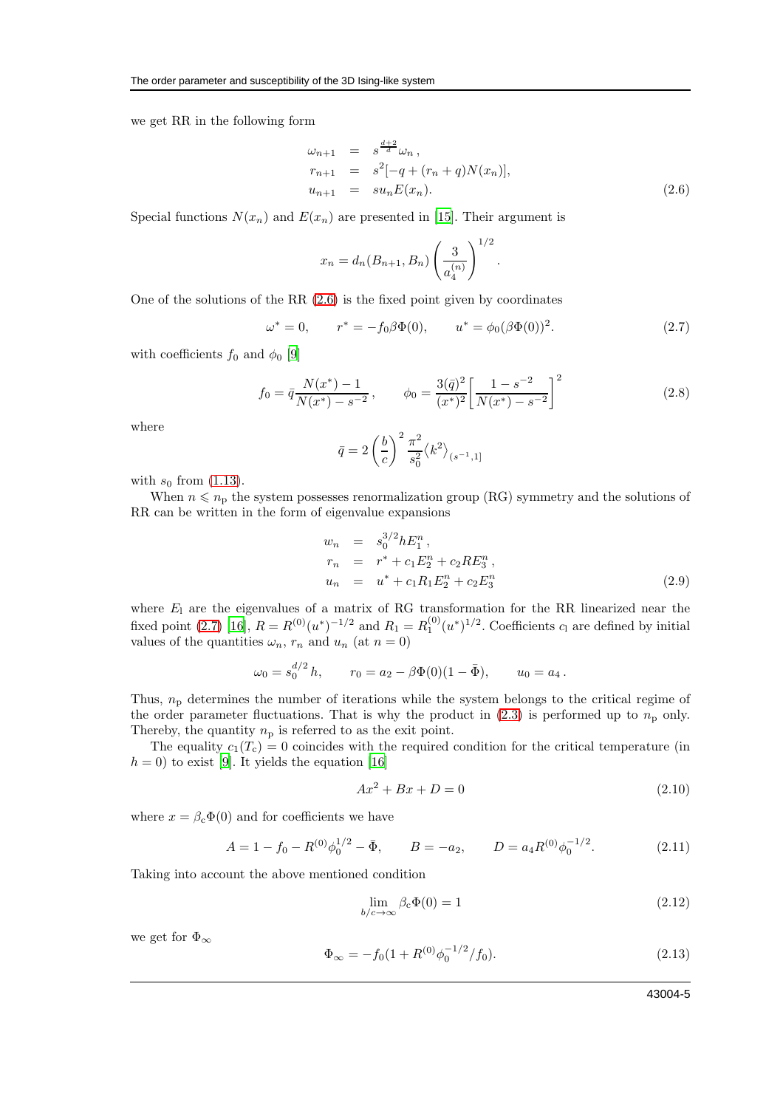we get RR in the following form

<span id="page-4-0"></span>
$$
\omega_{n+1} = s^{\frac{d+2}{d}} \omega_n ,
$$
  
\n
$$
r_{n+1} = s^2[-q + (r_n + q)N(x_n)],
$$
  
\n
$$
u_{n+1} = su_n E(x_n).
$$
\n(2.6)

.

Special functions  $N(x_n)$  and  $E(x_n)$  are presented in [\[15\]](#page-14-14). Their argument is

$$
x_n = d_n(B_{n+1}, B_n) \left(\frac{3}{a_4^{(n)}}\right)^{1/2}
$$

One of the solutions of the RR [\(2.6\)](#page-4-0) is the fixed point given by coordinates

<span id="page-4-1"></span>
$$
\omega^* = 0, \qquad r^* = -f_0 \beta \Phi(0), \qquad u^* = \phi_0(\beta \Phi(0))^2.
$$
 (2.7)

with coefficients  $f_0$  and  $\phi_0$  [\[9\]](#page-14-8)

$$
f_0 = \bar{q} \frac{N(x^*) - 1}{N(x^*) - s^{-2}}, \qquad \phi_0 = \frac{3(\bar{q})^2}{(x^*)^2} \left[ \frac{1 - s^{-2}}{N(x^*) - s^{-2}} \right]^2
$$
\n(2.8)

where

$$
\bar{q} = 2\left(\frac{b}{c}\right)^2 \frac{\pi^2}{s_0^2} \langle k^2 \rangle_{(s^{-1},1]}
$$

with  $s_0$  from [\(1.13\)](#page-3-2).

When  $n \leq n_p$  the system possesses renormalization group (RG) symmetry and the solutions of RR can be written in the form of eigenvalue expansions

$$
w_n = s_0^{3/2} h E_1^n,
$$
  
\n
$$
r_n = r^* + c_1 E_2^n + c_2 R E_3^n,
$$
  
\n
$$
u_n = u^* + c_1 R_1 E_2^n + c_2 E_3^n
$$
\n(2.9)

where  $E_1$  are the eigenvalues of a matrix of RG transformation for the RR linearized near the fixed point [\(2.7\)](#page-4-1) [\[16](#page-14-15)],  $R = R^{(0)}(u^*)^{-1/2}$  and  $R_1 = R_1^{(0)}(u^*)^{1/2}$ . Coefficients  $c_1$  are defined by initial values of the quantities  $\omega_n$ ,  $r_n$  and  $u_n$  (at  $n = 0$ )

$$
\omega_0 = s_0^{d/2} h
$$
,  $r_0 = a_2 - \beta \Phi(0)(1 - \overline{\Phi})$ ,  $u_0 = a_4$ .

Thus,  $n<sub>p</sub>$  determines the number of iterations while the system belongs to the critical regime of the order parameter fluctuations. That is why the product in  $(2.3)$  is performed up to  $n<sub>p</sub>$  only. Thereby, the quantity  $n<sub>p</sub>$  is referred to as the exit point.

The equality  $c_1(T_c) = 0$  coincides with the required condition for the critical temperature (in  $h = 0$ ) to exist [\[9\]](#page-14-8). It yields the equation [\[16](#page-14-15)]

$$
Ax^2 + Bx + D = 0 \t\t(2.10)
$$

where  $x = \beta_c \Phi(0)$  and for coefficients we have

$$
A = 1 - f_0 - R^{(0)} \phi_0^{1/2} - \bar{\Phi}, \qquad B = -a_2, \qquad D = a_4 R^{(0)} \phi_0^{-1/2}.
$$
 (2.11)

Taking into account the above mentioned condition

$$
\lim_{b/c \to \infty} \beta_c \Phi(0) = 1 \tag{2.12}
$$

we get for  $\Phi_{\infty}$ 

$$
\Phi_{\infty} = -f_0(1 + R^{(0)}\phi_0^{-1/2}/f_0). \tag{2.13}
$$

43004-5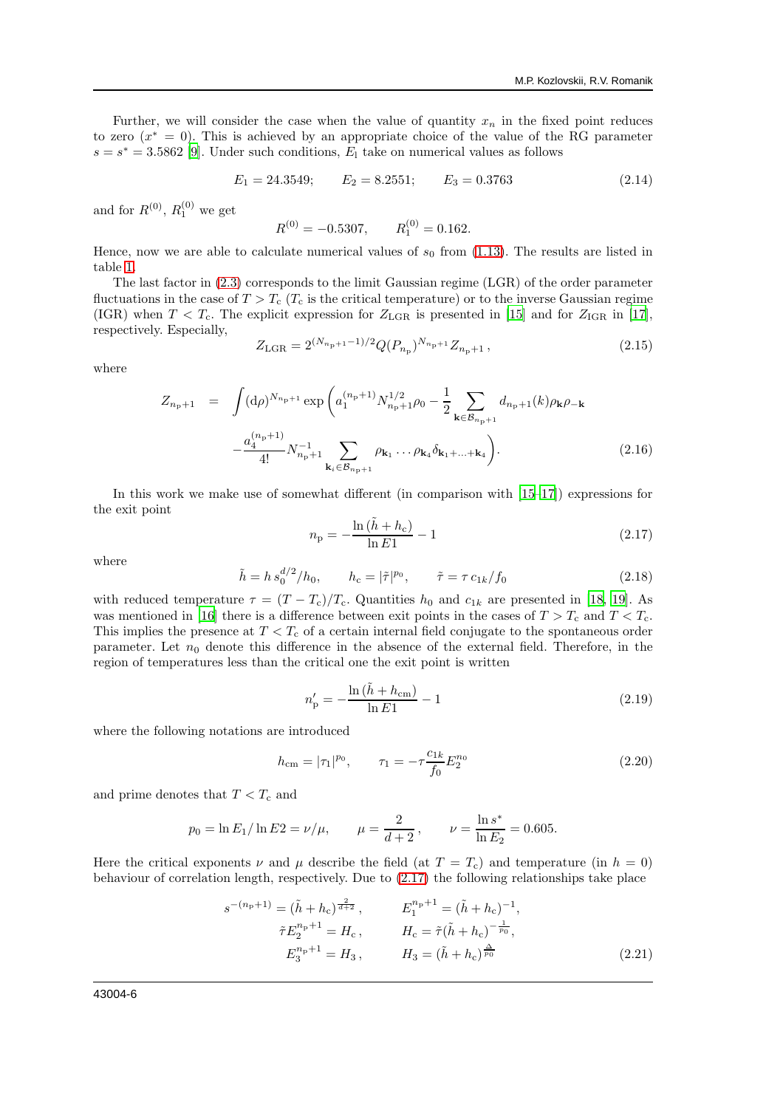Further, we will consider the case when the value of quantity  $x_n$  in the fixed point reduces to zero  $(x^* = 0)$ . This is achieved by an appropriate choice of the value of the RG parameter  $s = s^* = 3.5862$  [\[9](#page-14-8)]. Under such conditions,  $E_1$  take on numerical values as follows

$$
E_1 = 24.3549; \qquad E_2 = 8.2551; \qquad E_3 = 0.3763 \tag{2.14}
$$

and for  $R^{(0)}$ ,  $R_1^{(0)}$  we get

$$
R^{(0)} = -0.5307, \qquad R_1^{(0)} = 0.162.
$$

Hence, now we are able to calculate numerical values of  $s_0$  from [\(1.13\)](#page-3-2). The results are listed in table [1.](#page-3-0)

The last factor in [\(2.3\)](#page-3-3) corresponds to the limit Gaussian regime (LGR) of the order parameter fluctuations in the case of  $T > T_c$  ( $T_c$  is the critical temperature) or to the inverse Gaussian regime (IGR) when  $T < T_c$ . The explicit expression for  $Z_{\text{LGR}}$  is presented in [\[15](#page-14-14)] and for  $Z_{\text{IGR}}$  in [\[17\]](#page-14-16), respectively. Especially,

<span id="page-5-3"></span>
$$
Z_{\text{LGR}} = 2^{(N_{n_{\text{p}}+1}-1)/2} Q(P_{n_{\text{p}}})^{N_{n_{\text{p}}+1}} Z_{n_{\text{p}}+1}, \qquad (2.15)
$$

where

$$
Z_{n_{\rm p}+1} = \int (\mathrm{d}\rho)^{N_{n_{\rm p}+1}} \exp\left(a_1^{(n_{\rm p}+1)} N_{n_{\rm p}+1}^{1/2} \rho_0 - \frac{1}{2} \sum_{\mathbf{k} \in \mathcal{B}_{n_{\rm p}+1}} d_{n_{\rm p}+1}(k) \rho_{\mathbf{k}} \rho_{-\mathbf{k}} \right.- \frac{a_4^{(n_{\rm p}+1)}}{4!} N_{n_{\rm p}+1}^{-1} \sum_{\mathbf{k}_i \in \mathcal{B}_{n_{\rm p}+1}} \rho_{\mathbf{k}_1} \dots \rho_{\mathbf{k}_4} \delta_{\mathbf{k}_1 + \dots + \mathbf{k}_4} \right). \tag{2.16}
$$

In this work we make use of somewhat different (in comparison with [\[15](#page-14-14)[–17](#page-14-16)]) expressions for the exit point

<span id="page-5-0"></span>
$$
n_{\rm p} = -\frac{\ln(\tilde{h} + h_{\rm c})}{\ln E_1} - 1\tag{2.17}
$$

where

$$
\tilde{h} = h s_0^{d/2} / h_0, \qquad h_c = |\tilde{\tau}|^{p_0}, \qquad \tilde{\tau} = \tau c_{1k} / f_0
$$
\n(2.18)

with reduced temperature  $\tau = (T - T_c)/T_c$ . Quantities  $h_0$  and  $c_{1k}$  are presented in [\[18,](#page-14-17) [19](#page-14-18)]. As was mentioned in [\[16\]](#page-14-15) there is a difference between exit points in the cases of  $T > T_c$  and  $T < T_c$ . This implies the presence at  $T < T<sub>c</sub>$  of a certain internal field conjugate to the spontaneous order parameter. Let  $n_0$  denote this difference in the absence of the external field. Therefore, in the region of temperatures less than the critical one the exit point is written

<span id="page-5-1"></span>
$$
n'_{\rm p} = -\frac{\ln(\tilde{h} + h_{\rm cm})}{\ln E_1} - 1\tag{2.19}
$$

where the following notations are introduced

$$
h_{\rm cm} = |\tau_1|^{p_0}, \qquad \tau_1 = -\tau \frac{c_{1k}}{f_0} E_2^{n_0}
$$
 (2.20)

and prime denotes that  $T < T_c$  and

$$
p_0 = \ln E_1 / \ln E_2 = \nu / \mu,
$$
  $\mu = \frac{2}{d+2},$   $\nu = \frac{\ln s^*}{\ln E_2} = 0.605.$ 

Here the critical exponents  $\nu$  and  $\mu$  describe the field (at  $T = T_c$ ) and temperature (in  $h = 0$ ) behaviour of correlation length, respectively. Due to [\(2.17\)](#page-5-0) the following relationships take place

<span id="page-5-2"></span>
$$
s^{-(n_{\rm p}+1)} = (\tilde{h} + h_{\rm c})^{\frac{2}{d+2}}, \qquad E_1^{n_{\rm p}+1} = (\tilde{h} + h_{\rm c})^{-1},
$$
  
\n
$$
\tilde{\tau} E_2^{n_{\rm p}+1} = H_{\rm c}, \qquad H_{\rm c} = \tilde{\tau} (\tilde{h} + h_{\rm c})^{-\frac{1}{p_0}},
$$
  
\n
$$
E_3^{n_{\rm p}+1} = H_3, \qquad H_3 = (\tilde{h} + h_{\rm c})^{\frac{\Delta}{p_0}}
$$
\n(2.21)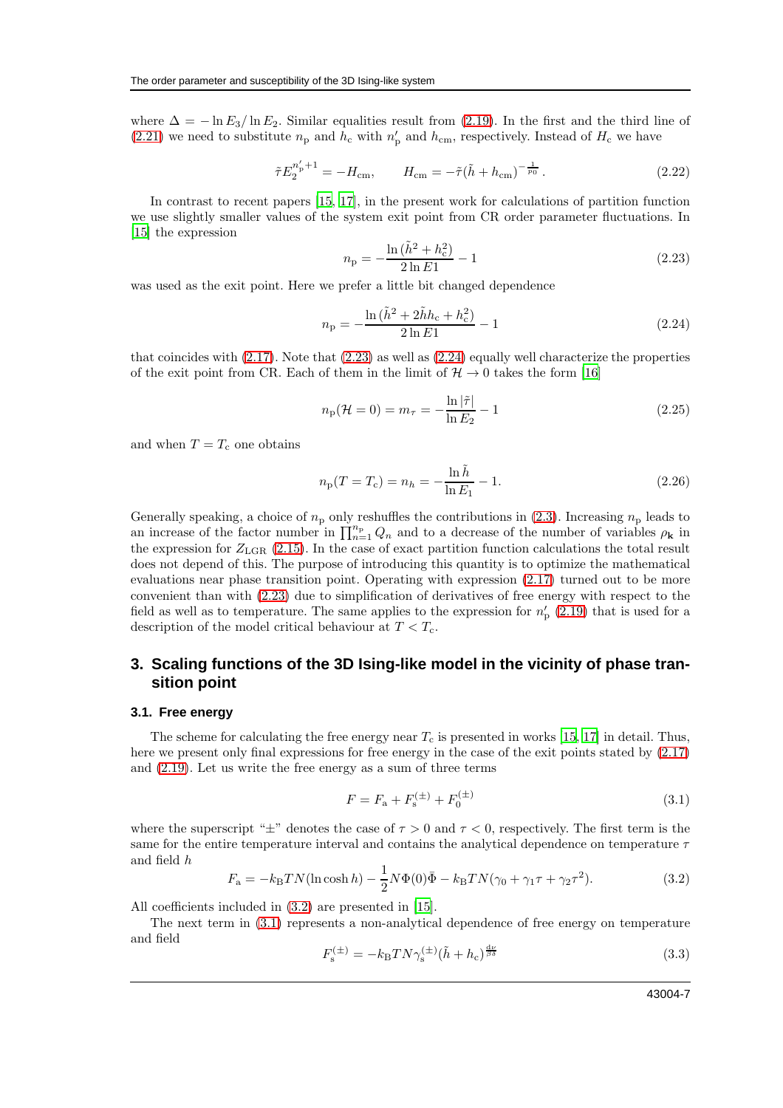where  $\Delta = -\ln E_3 / \ln E_2$ . Similar equalities result from [\(2.19\)](#page-5-1). In the first and the third line of [\(2.21\)](#page-5-2) we need to substitute  $n_p$  and  $h_c$  with  $n'_p$  and  $h_{cm}$ , respectively. Instead of  $H_c$  we have

$$
\tilde{\tau} E_2^{n'_p+1} = -H_{\rm cm}, \qquad H_{\rm cm} = -\tilde{\tau} (\tilde{h} + h_{\rm cm})^{-\frac{1}{p_0}}.
$$
\n(2.22)

In contrast to recent papers [\[15](#page-14-14), [17\]](#page-14-16), in the present work for calculations of partition function we use slightly smaller values of the system exit point from CR order parameter fluctuations. In [\[15\]](#page-14-14) the expression

<span id="page-6-0"></span>
$$
n_{\rm p} = -\frac{\ln\left(\tilde{h}^2 + h_{\rm c}^2\right)}{2\ln E_1} - 1\tag{2.23}
$$

was used as the exit point. Here we prefer a little bit changed dependence

<span id="page-6-1"></span>
$$
n_{\rm p} = -\frac{\ln\left(\tilde{h}^2 + 2\tilde{h}h_{\rm c} + h_{\rm c}^2\right)}{2\ln E_1} - 1\tag{2.24}
$$

that coincides with [\(2.17\)](#page-5-0). Note that [\(2.23\)](#page-6-0) as well as [\(2.24\)](#page-6-1) equally well characterize the properties of the exit point from CR. Each of them in the limit of  $\mathcal{H} \to 0$  takes the form [\[16](#page-14-15)]

$$
n_{\rm p}(\mathcal{H}=0) = m_{\tau} = -\frac{\ln|\tilde{\tau}|}{\ln E_2} - 1
$$
\n(2.25)

and when  $T = T_c$  one obtains

$$
n_{\rm p}(T = T_{\rm c}) = n_h = -\frac{\ln \tilde{h}}{\ln E_1} - 1.
$$
\n(2.26)

Generally speaking, a choice of  $n<sub>p</sub>$  only reshuffles the contributions in [\(2.3\)](#page-3-3). Increasing  $n<sub>p</sub>$  leads to an increase of the factor number in  $\prod_{n=1}^{n_p} Q_n$  and to a decrease of the number of variables  $\rho_{\bf k}$  in the expression for  $Z_{\text{LGR}}$  [\(2.15\)](#page-5-3). In the case of exact partition function calculations the total result does not depend of this. The purpose of introducing this quantity is to optimize the mathematical evaluations near phase transition point. Operating with expression [\(2.17\)](#page-5-0) turned out to be more convenient than with [\(2.23\)](#page-6-0) due to simplification of derivatives of free energy with respect to the field as well as to temperature. The same applies to the expression for  $n'_{\rm p}$  [\(2.19\)](#page-5-1) that is used for a description of the model critical behaviour at  $T < T_c$ .

### **3. Scaling functions of the 3D Ising-like model in the vicinity of phase transition point**

#### **3.1. Free energy**

The scheme for calculating the free energy near  $T_c$  is presented in works [\[15,](#page-14-14) [17](#page-14-16)] in detail. Thus, here we present only final expressions for free energy in the case of the exit points stated by [\(2.17\)](#page-5-0) and [\(2.19\)](#page-5-1). Let us write the free energy as a sum of three terms

<span id="page-6-3"></span>
$$
F = F_{\rm a} + F_{\rm s}^{(\pm)} + F_0^{(\pm)} \tag{3.1}
$$

where the superscript " $\pm$ " denotes the case of  $\tau > 0$  and  $\tau < 0$ , respectively. The first term is the same for the entire temperature interval and contains the analytical dependence on temperature  $\tau$ and field h

<span id="page-6-2"></span>
$$
F_{\rm a} = -k_{\rm B}TN(\ln\cosh h) - \frac{1}{2}N\Phi(0)\bar{\Phi} - k_{\rm B}TN(\gamma_0 + \gamma_1\tau + \gamma_2\tau^2). \tag{3.2}
$$

All coefficients included in [\(3.2\)](#page-6-2) are presented in [\[15\]](#page-14-14).

The next term in [\(3.1\)](#page-6-3) represents a non-analytical dependence of free energy on temperature and field

<span id="page-6-4"></span>
$$
F_{\rm s}^{(\pm)} = -k_{\rm B} T N \gamma_{\rm s}^{(\pm)} (\tilde{h} + h_{\rm c})^{\frac{\rm d\nu}{\beta \delta}} \tag{3.3}
$$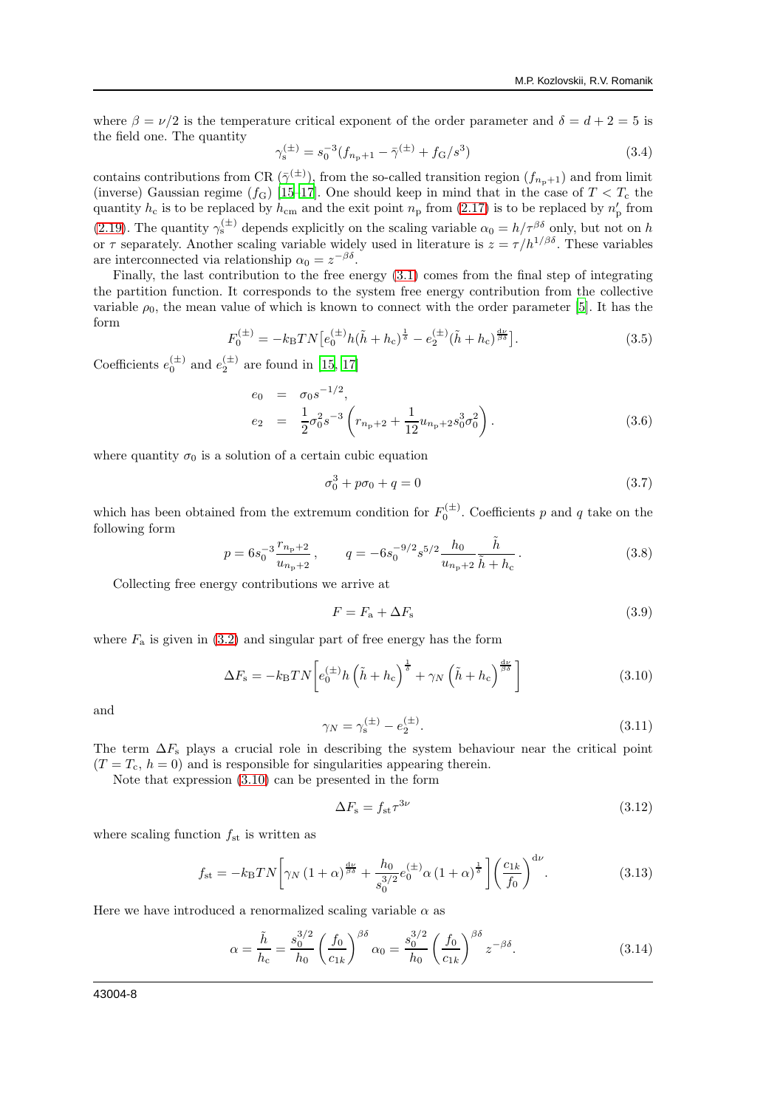where  $\beta = \nu/2$  is the temperature critical exponent of the order parameter and  $\delta = d + 2 = 5$  is the field one. The quantity

$$
\gamma_s^{(\pm)} = s_0^{-3} (f_{n_p+1} - \bar{\gamma}^{(\pm)} + f_G/s^3)
$$
\n(3.4)

contains contributions from CR  $(\bar{\gamma}^{(\pm)})$ , from the so-called transition region  $(f_{n_p+1})$  and from limit (inverse) Gaussian regime ( $f_{\text{G}}$ ) [\[15](#page-14-14)[–17\]](#page-14-16). One should keep in mind that in the case of  $T < T_{\text{c}}$  the quantity  $h_c$  is to be replaced by  $h_{cm}$  and the exit point  $n_p$  from [\(2.17\)](#page-5-0) is to be replaced by  $n'_p$  from [\(2.19\)](#page-5-1). The quantity  $\gamma_s^{(\pm)}$  depends explicitly on the scaling variable  $\alpha_0 = h/\tau^{\beta\delta}$  only, but not on h or  $\tau$  separately. Another scaling variable widely used in literature is  $z = \tau/h^{1/\beta\delta}$ . These variables are interconnected via relationship  $\alpha_0 = z^{-\beta \delta}$ .

Finally, the last contribution to the free energy [\(3.1\)](#page-6-3) comes from the final step of integrating the partition function. It corresponds to the system free energy contribution from the collective variable  $\rho_0$ , the mean value of which is known to connect with the order parameter [\[5\]](#page-14-5). It has the form

<span id="page-7-3"></span>
$$
F_0^{(\pm)} = -k_{\rm B}TN \left[ e_0^{(\pm)} h (\tilde{h} + h_{\rm c})^{\frac{1}{\delta}} - e_2^{(\pm)} (\tilde{h} + h_{\rm c})^{\frac{4\nu}{\beta\delta}} \right].
$$
 (3.5)

Coefficients  $e_0^{(\pm)}$  and  $e_2^{(\pm)}$  are found in [\[15](#page-14-14), [17](#page-14-16)]

<span id="page-7-5"></span>
$$
e_0 = \sigma_0 s^{-1/2},
$$
  
\n
$$
e_2 = \frac{1}{2} \sigma_0^2 s^{-3} \left( r_{n_p+2} + \frac{1}{12} u_{n_p+2} s_0^3 \sigma_0^2 \right).
$$
\n(3.6)

where quantity  $\sigma_0$  is a solution of a certain cubic equation

<span id="page-7-4"></span>
$$
\sigma_0^3 + p\sigma_0 + q = 0 \tag{3.7}
$$

which has been obtained from the extremum condition for  $F_0^{(\pm)}$ . Coefficients p and q take on the following form

$$
p = 6s_0^{-3} \frac{r_{n_{\rm p}+2}}{u_{n_{\rm p}+2}}, \qquad q = -6s_0^{-9/2} s^{5/2} \frac{h_0}{u_{n_{\rm p}+2}} \frac{\tilde{h}}{\tilde{h} + h_{\rm c}}.
$$
 (3.8)

Collecting free energy contributions we arrive at

$$
F = F_{\rm a} + \Delta F_{\rm s} \tag{3.9}
$$

where  $F_a$  is given in [\(3.2\)](#page-6-2) and singular part of free energy has the form

<span id="page-7-0"></span>
$$
\Delta F_{\rm s} = -k_{\rm B} T N \left[ e_0^{(\pm)} h \left( \tilde{h} + h_{\rm c} \right)^{\frac{1}{\delta}} + \gamma_N \left( \tilde{h} + h_{\rm c} \right)^{\frac{d\nu}{\beta \delta}} \right] \tag{3.10}
$$

and

$$
\gamma_N = \gamma_s^{(\pm)} - e_2^{(\pm)}.\tag{3.11}
$$

The term  $\Delta F_s$  plays a crucial role in describing the system behaviour near the critical point  $(T = T_c, h = 0)$  and is responsible for singularities appearing therein.

Note that expression [\(3.10\)](#page-7-0) can be presented in the form

<span id="page-7-2"></span>
$$
\Delta F_{\rm s} = f_{\rm st} \tau^{3\nu} \tag{3.12}
$$

where scaling function  $f_{st}$  is written as

<span id="page-7-1"></span>
$$
f_{\rm st} = -k_{\rm B}TN \bigg[ \gamma_N \left(1+\alpha\right)^{\frac{d\nu}{\beta\delta}} + \frac{h_0}{s_0^{3/2}} e_0^{(\pm)} \alpha \left(1+\alpha\right)^{\frac{1}{\delta}} \bigg] \bigg( \frac{c_{1k}}{f_0} \bigg)^{d\nu} . \tag{3.13}
$$

Here we have introduced a renormalized scaling variable  $\alpha$  as

$$
\alpha = \frac{\tilde{h}}{h_c} = \frac{s_0^{3/2}}{h_0} \left(\frac{f_0}{c_{1k}}\right)^{\beta\delta} \alpha_0 = \frac{s_0^{3/2}}{h_0} \left(\frac{f_0}{c_{1k}}\right)^{\beta\delta} z^{-\beta\delta}.
$$
 (3.14)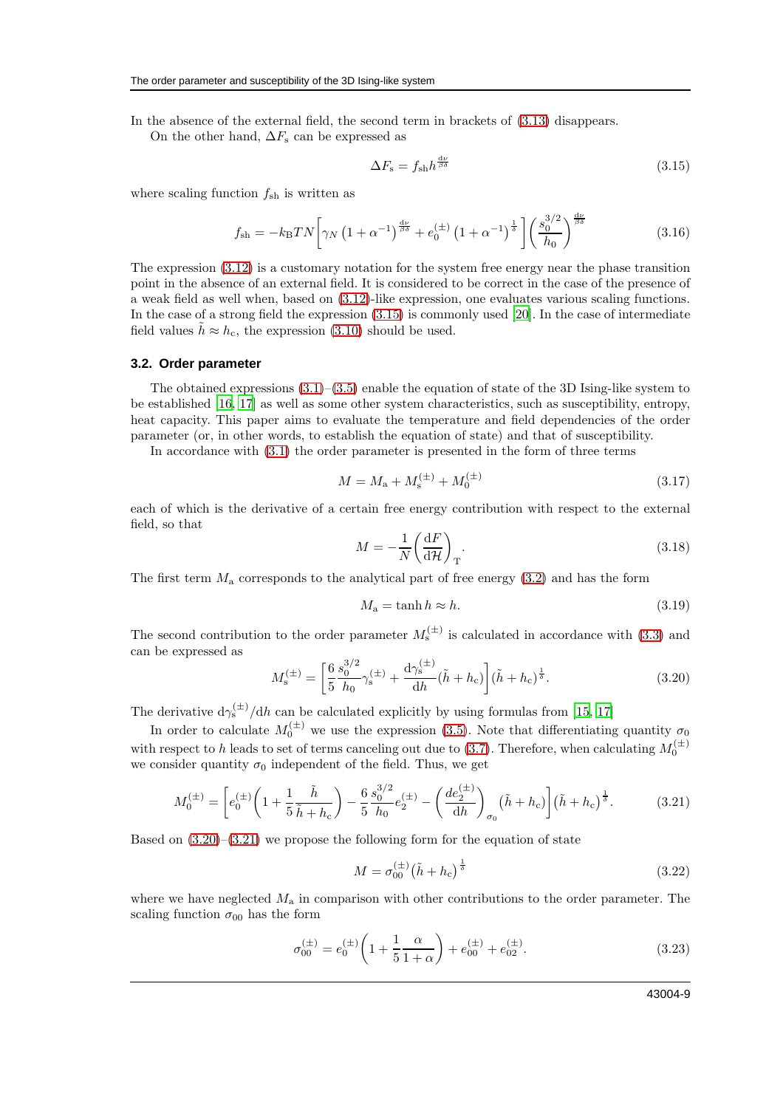In the absence of the external field, the second term in brackets of [\(3.13\)](#page-7-1) disappears.

On the other hand,  $\Delta F_s$  can be expressed as

<span id="page-8-0"></span>
$$
\Delta F_{\rm s} = f_{\rm sh} h^{\frac{\rm d\nu}{\beta\delta}} \tag{3.15}
$$

where scaling function  $f_{\rm sh}$  is written as

$$
f_{\rm sh} = -k_{\rm B}TN \left[ \gamma_N \left( 1 + \alpha^{-1} \right)^{\frac{d\nu}{\beta\delta}} + e_0^{(\pm)} \left( 1 + \alpha^{-1} \right)^{\frac{1}{\delta}} \right] \left( \frac{s_0^{3/2}}{h_0} \right)^{\frac{d\nu}{\beta\delta}} \tag{3.16}
$$

The expression  $(3.12)$  is a customary notation for the system free energy near the phase transition point in the absence of an external field. It is considered to be correct in the case of the presence of a weak field as well when, based on [\(3.12\)](#page-7-2)-like expression, one evaluates various scaling functions. In the case of a strong field the expression [\(3.15\)](#page-8-0) is commonly used [\[20\]](#page-14-19). In the case of intermediate field values  $\hat{h} \approx h_c$ , the expression [\(3.10\)](#page-7-0) should be used.

#### **3.2. Order parameter**

The obtained expressions  $(3.1)$ – $(3.5)$  enable the equation of state of the 3D Ising-like system to be established [\[16](#page-14-15), [17\]](#page-14-16) as well as some other system characteristics, such as susceptibility, entropy, heat capacity. This paper aims to evaluate the temperature and field dependencies of the order parameter (or, in other words, to establish the equation of state) and that of susceptibility.

In accordance with [\(3.1\)](#page-6-3) the order parameter is presented in the form of three terms

$$
M = M_{\rm a} + M_{\rm s}^{(\pm)} + M_0^{(\pm)} \tag{3.17}
$$

each of which is the derivative of a certain free energy contribution with respect to the external field, so that

$$
M = -\frac{1}{N} \left( \frac{\mathrm{d}F}{\mathrm{d}\mathcal{H}} \right)_{\mathrm{T}}.
$$
\n(3.18)

The first term  $M_a$  corresponds to the analytical part of free energy  $(3.2)$  and has the form

$$
M_{\rm a} = \tanh h \approx h. \tag{3.19}
$$

The second contribution to the order parameter  $M_s^{(\pm)}$  is calculated in accordance with [\(3.3\)](#page-6-4) and can be expressed as

<span id="page-8-1"></span>
$$
M_{\rm s}^{(\pm)} = \left[\frac{6}{5} \frac{s_0^{3/2}}{h_0} \gamma_{\rm s}^{(\pm)} + \frac{\mathrm{d}\gamma_{\rm s}^{(\pm)}}{\mathrm{d}h} (\tilde{h} + h_{\rm c})\right] (\tilde{h} + h_{\rm c})^{\frac{1}{2}}.
$$
 (3.20)

The derivative  $d\gamma_s^{(\pm)} / dh$  can be calculated explicitly by using formulas from [\[15,](#page-14-14) [17\]](#page-14-16)

In order to calculate  $M_0^{(\pm)}$  we use the expression [\(3.5\)](#page-7-3). Note that differentiating quantity  $\sigma_0$ with respect to h leads to set of terms canceling out due to [\(3.7\)](#page-7-4). Therefore, when calculating  $M_0^{(\pm)}$ we consider quantity  $\sigma_0$  independent of the field. Thus, we get

<span id="page-8-2"></span>
$$
M_0^{(\pm)} = \left[ e_0^{(\pm)} \left( 1 + \frac{1}{5} \frac{\tilde{h}}{\tilde{h} + h_c} \right) - \frac{6}{5} \frac{s_0^{3/2}}{h_0} e_2^{(\pm)} - \left( \frac{de_2^{(\pm)}}{dh} \right)_{\sigma_0} \left( \tilde{h} + h_c \right) \right] \left( \tilde{h} + h_c \right)^{\frac{1}{\delta}}.
$$
 (3.21)

Based on  $(3.20)$ – $(3.21)$  we propose the following form for the equation of state

<span id="page-8-4"></span>
$$
M = \sigma_{00}^{(\pm)} (\tilde{h} + h_c)^{\frac{1}{\delta}}
$$
 (3.22)

where we have neglected  $M_a$  in comparison with other contributions to the order parameter. The scaling function  $\sigma_{00}$  has the form

<span id="page-8-3"></span>
$$
\sigma_{00}^{(\pm)} = e_0^{(\pm)} \left( 1 + \frac{1}{5} \frac{\alpha}{1 + \alpha} \right) + e_{00}^{(\pm)} + e_{02}^{(\pm)}.
$$
\n(3.23)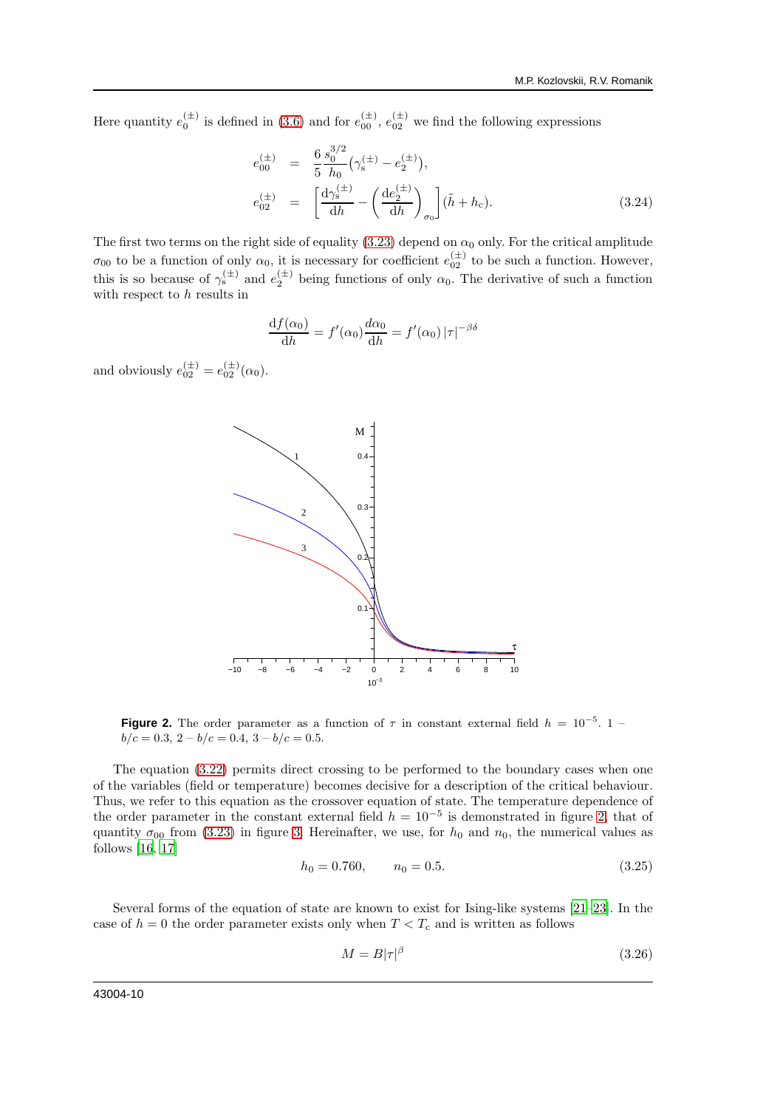Here quantity  $e_0^{(\pm)}$  is defined in [\(3.6\)](#page-7-5) and for  $e_{00}^{(\pm)}$ ,  $e_{02}^{(\pm)}$  we find the following expressions

$$
e_{00}^{(\pm)} = \frac{6}{5} \frac{s_0^{3/2}}{h_0} \left(\gamma_s^{(\pm)} - e_2^{(\pm)}\right),
$$
  
\n
$$
e_{02}^{(\pm)} = \left[\frac{d\gamma_s^{(\pm)}}{dh} - \left(\frac{de_2^{(\pm)}}{dh}\right)_{\sigma_0}\right] (\tilde{h} + h_c).
$$
\n(3.24)

The first two terms on the right side of equality [\(3.23\)](#page-8-3) depend on  $\alpha_0$  only. For the critical amplitude  $\sigma_{00}$  to be a function of only  $\alpha_0$ , it is necessary for coefficient  $e_{02}^{(\pm)}$  to be such a function. However, this is so because of  $\gamma_s^{(\pm)}$  and  $e_2^{(\pm)}$  being functions of only  $\alpha_0$ . The derivative of such a function with respect to h results in

$$
\frac{\mathrm{d}f(\alpha_0)}{\mathrm{d}h} = f'(\alpha_0) \frac{d\alpha_0}{\mathrm{d}h} = f'(\alpha_0) |\tau|^{-\beta \delta}
$$

and obviously  $e_{02}^{(\pm)} = e_{02}^{(\pm)}(\alpha_0)$ .



<span id="page-9-0"></span>**Figure 2.** The order parameter as a function of  $\tau$  in constant external field  $h = 10^{-5}$ . 1 –  $b/c = 0.3$ ,  $2 - b/c = 0.4$ ,  $3 - b/c = 0.5$ .

The equation [\(3.22\)](#page-8-4) permits direct crossing to be performed to the boundary cases when one of the variables (field or temperature) becomes decisive for a description of the critical behaviour. Thus, we refer to this equation as the crossover equation of state. The temperature dependence of the order parameter in the constant external field  $h = 10^{-5}$  is demonstrated in figure [2,](#page-9-0) that of quantity  $\sigma_{00}$  from [\(3.23\)](#page-8-3) in figure [3.](#page-10-0) Hereinafter, we use, for  $h_0$  and  $n_0$ , the numerical values as follows [\[16](#page-14-15), [17](#page-14-16)]

$$
h_0 = 0.760, \qquad n_0 = 0.5. \tag{3.25}
$$

Several forms of the equation of state are known to exist for Ising-like systems [\[21](#page-14-20)[–23\]](#page-14-21). In the case of  $h = 0$  the order parameter exists only when  $T < T_c$  and is written as follows

$$
M = B|\tau|^{\beta} \tag{3.26}
$$

43004-10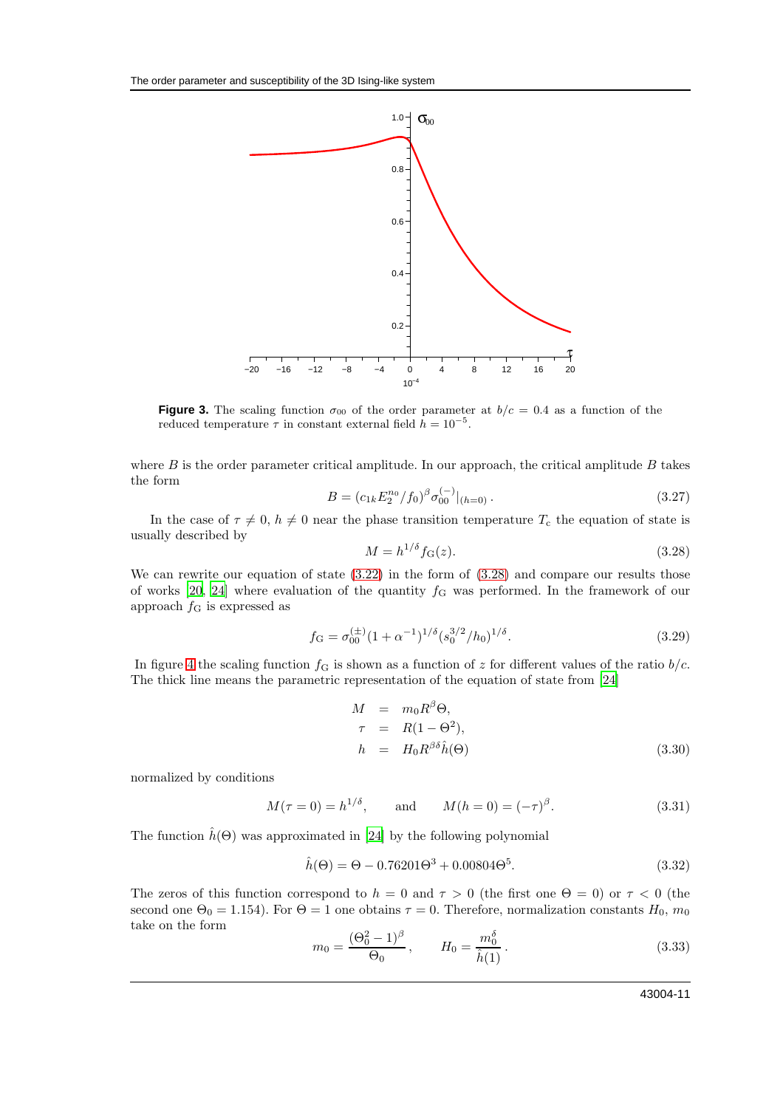

<span id="page-10-0"></span>**Figure 3.** The scaling function  $\sigma_{00}$  of the order parameter at  $b/c = 0.4$  as a function of the reduced temperature  $\tau$  in constant external field  $\hat{h} = 10^{-5}$ .

where  $B$  is the order parameter critical amplitude. In our approach, the critical amplitude  $B$  takes the form

$$
B = (c_{1k} E_2^{n_0} / f_0)^{\beta} \sigma_{00}^{(-)} |_{(h=0)}.
$$
\n(3.27)

In the case of  $\tau \neq 0$ ,  $h \neq 0$  near the phase transition temperature  $T_c$  the equation of state is usually described by

<span id="page-10-1"></span>
$$
M = h^{1/\delta} f_{\mathcal{G}}(z). \tag{3.28}
$$

We can rewrite our equation of state  $(3.22)$  in the form of  $(3.28)$  and compare our results those of works [\[20,](#page-14-19) [24\]](#page-14-22) where evaluation of the quantity  $f<sub>G</sub>$  was performed. In the framework of our approach  $f_{\rm G}$  is expressed as

$$
f_{\mathcal{G}} = \sigma_{00}^{(\pm)} (1 + \alpha^{-1})^{1/\delta} (s_0^{3/2} / h_0)^{1/\delta}.
$$
 (3.29)

In figure [4](#page-11-0) the scaling function  $f<sub>G</sub>$  is shown as a function of z for different values of the ratio  $b/c$ . The thick line means the parametric representation of the equation of state from [\[24\]](#page-14-22)

<span id="page-10-2"></span>
$$
M = m_0 R^{\beta} \Theta,
$$
  
\n
$$
\tau = R(1 - \Theta^2),
$$
  
\n
$$
h = H_0 R^{\beta \delta} \hat{h}(\Theta)
$$
\n(3.30)

normalized by conditions

$$
M(\tau = 0) = h^{1/\delta}
$$
, and  $M(h = 0) = (-\tau)^{\beta}$ . (3.31)

The function  $\hat{h}(\Theta)$  was approximated in [\[24\]](#page-14-22) by the following polynomial

$$
\hat{h}(\Theta) = \Theta - 0.76201\Theta^3 + 0.00804\Theta^5. \tag{3.32}
$$

The zeros of this function correspond to  $h = 0$  and  $\tau > 0$  (the first one  $\Theta = 0$ ) or  $\tau < 0$  (the second one  $\Theta_0 = 1.154$ ). For  $\Theta = 1$  one obtains  $\tau = 0$ . Therefore, normalization constants  $H_0$ ,  $m_0$ take on the form

$$
m_0 = \frac{(\Theta_0^2 - 1)^{\beta}}{\Theta_0}, \qquad H_0 = \frac{m_0^{\delta}}{\hat{h}(1)}.
$$
 (3.33)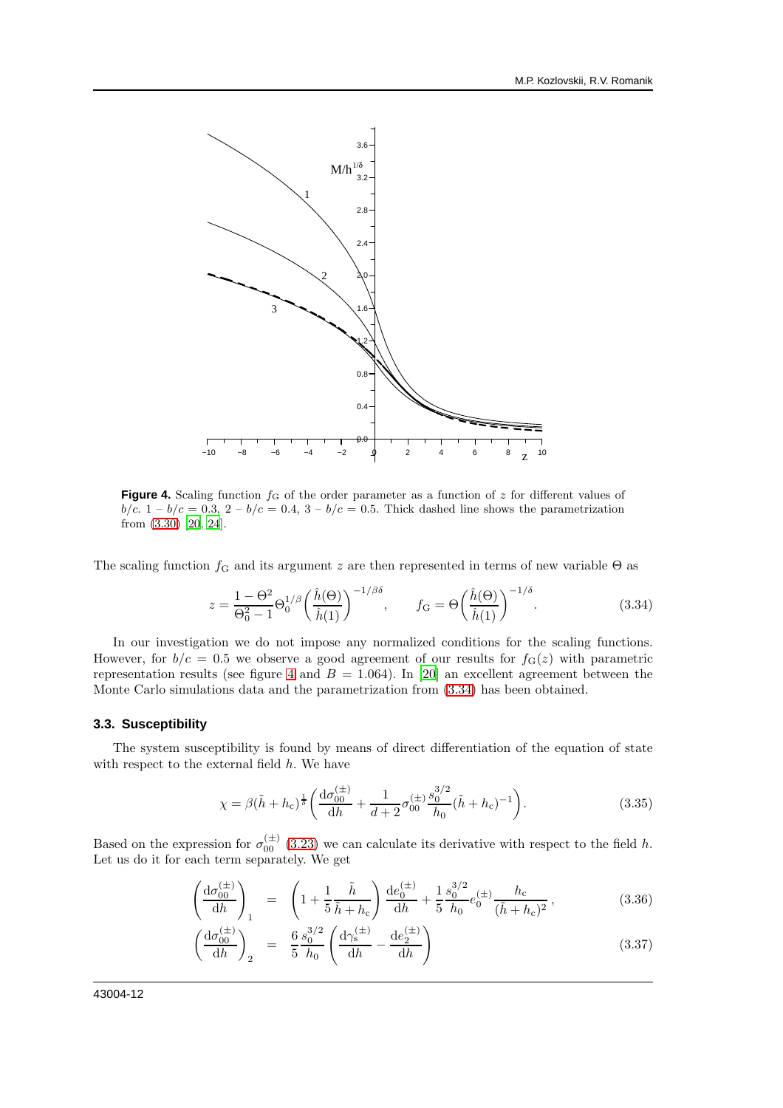

<span id="page-11-0"></span>**Figure 4.** Scaling function  $f<sub>G</sub>$  of the order parameter as a function of z for different values of  $b/c$ .  $1 - b/c = 0.3$ ,  $2 - b/c = 0.4$ ,  $3 - b/c = 0.5$ . Thick dashed line shows the parametrization from [\(3.30\)](#page-10-2) [\[20](#page-14-19), [24](#page-14-22)].

The scaling function  $f<sub>G</sub>$  and its argument z are then represented in terms of new variable  $\Theta$  as

<span id="page-11-1"></span>
$$
z = \frac{1 - \Theta^2}{\Theta_0^2 - 1} \Theta_0^{1/\beta} \left(\frac{\hat{h}(\Theta)}{\hat{h}(1)}\right)^{-1/\beta\delta}, \qquad f_G = \Theta \left(\frac{\hat{h}(\Theta)}{\hat{h}(1)}\right)^{-1/\delta}.
$$
 (3.34)

In our investigation we do not impose any normalized conditions for the scaling functions. However, for  $b/c = 0.5$  we observe a good agreement of our results for  $f<sub>G</sub>(z)$  with parametric representation results (see figure [4](#page-11-0) and  $B = 1.064$ ). In [\[20](#page-14-19)] an excellent agreement between the Monte Carlo simulations data and the parametrization from [\(3.34\)](#page-11-1) has been obtained.

#### **3.3. Susceptibility**

The system susceptibility is found by means of direct differentiation of the equation of state with respect to the external field  $h$ . We have

$$
\chi = \beta(\tilde{h} + h_c)^{\frac{1}{\delta}} \left( \frac{d\sigma_{00}^{(\pm)}}{dh} + \frac{1}{d+2} \sigma_{00}^{(\pm)} \frac{s_0^{3/2}}{h_0} (\tilde{h} + h_c)^{-1} \right).
$$
 (3.35)

Based on the expression for  $\sigma_{00}^{(\pm)}$  [\(3.23\)](#page-8-3) we can calculate its derivative with respect to the field h. Let us do it for each term separately. We get

<span id="page-11-2"></span>
$$
\left(\frac{d\sigma_{00}^{(\pm)}}{dh}\right)_1 = \left(1 + \frac{1}{5}\frac{\tilde{h}}{\tilde{h} + h_c}\right)\frac{de_0^{(\pm)}}{dh} + \frac{1}{5}\frac{s_0^{3/2}}{h_0}e_0^{(\pm)}\frac{h_c}{(\tilde{h} + h_c)^2},\tag{3.36}
$$

$$
\left(\frac{d\sigma_{00}^{(\pm)}}{dh}\right)_2 = \frac{6 s_0^{3/2}}{5 h_0} \left(\frac{d\gamma_s^{(\pm)}}{dh} - \frac{de_2^{(\pm)}}{dh}\right)
$$
\n(3.37)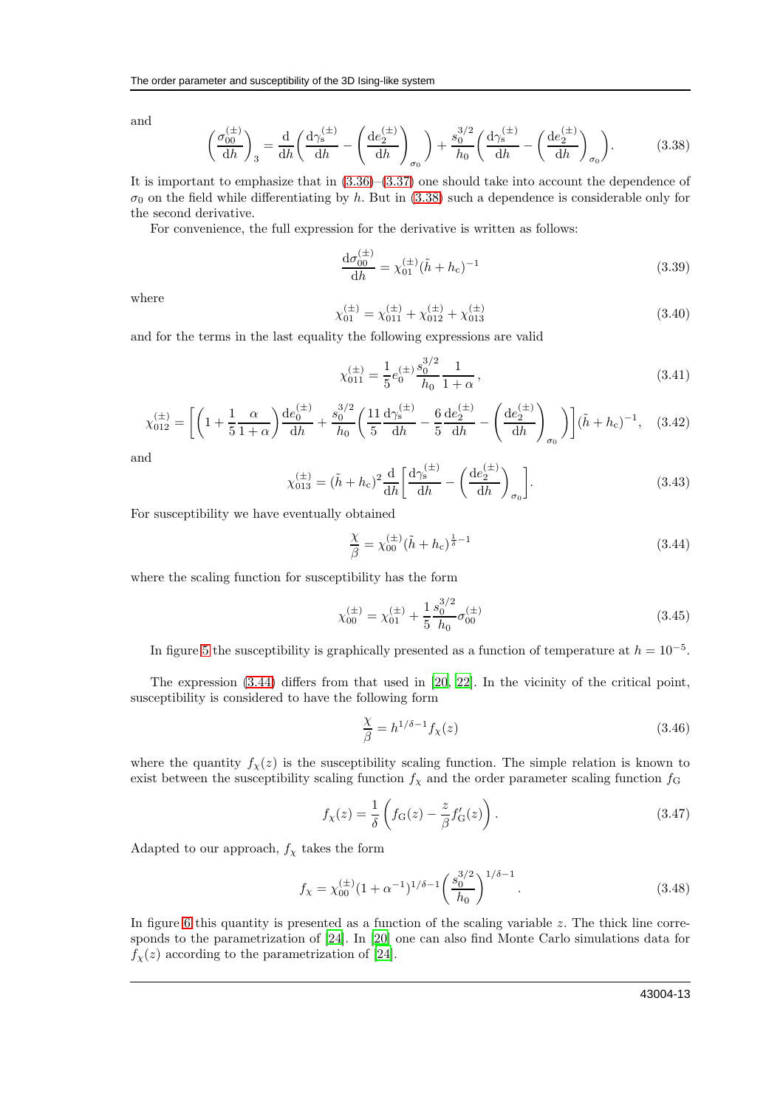and

<span id="page-12-0"></span>
$$
\left(\frac{\sigma_{00}^{(\pm)}}{dh}\right)_3 = \frac{\mathrm{d}}{\mathrm{d}h} \left(\frac{\mathrm{d}\gamma_s^{(\pm)}}{\mathrm{d}h} - \left(\frac{\mathrm{d}e_2^{(\pm)}}{\mathrm{d}h}\right)_{\sigma_0}\right) + \frac{s_0^{3/2}}{h_0} \left(\frac{\mathrm{d}\gamma_s^{(\pm)}}{\mathrm{d}h} - \left(\frac{\mathrm{d}e_2^{(\pm)}}{\mathrm{d}h}\right)_{\sigma_0}\right). \tag{3.38}
$$

It is important to emphasize that in [\(3.36\)](#page-11-2)–[\(3.37\)](#page-11-2) one should take into account the dependence of  $\sigma_0$  on the field while differentiating by h. But in [\(3.38\)](#page-12-0) such a dependence is considerable only for the second derivative.

For convenience, the full expression for the derivative is written as follows:

$$
\frac{\mathrm{d}\sigma_{00}^{(\pm)}}{\mathrm{d}h} = \chi_{01}^{(\pm)} (\tilde{h} + h_{\rm c})^{-1} \tag{3.39}
$$

where

$$
\chi_{01}^{(\pm)} = \chi_{011}^{(\pm)} + \chi_{012}^{(\pm)} + \chi_{013}^{(\pm)} \tag{3.40}
$$

and for the terms in the last equality the following expressions are valid

$$
\chi_{011}^{(\pm)} = \frac{1}{5} e_0^{(\pm)} \frac{s_0^{3/2}}{h_0} \frac{1}{1+\alpha},\tag{3.41}
$$

$$
\chi_{012}^{(\pm)} = \left[ \left( 1 + \frac{1}{5} \frac{\alpha}{1+\alpha} \right) \frac{\mathrm{d}e_0^{(\pm)}}{\mathrm{d}h} + \frac{s_0^{3/2}}{h_0} \left( \frac{11}{5} \frac{\mathrm{d}\gamma_s^{(\pm)}}{\mathrm{d}h} - \frac{6}{5} \frac{\mathrm{d}e_2^{(\pm)}}{\mathrm{d}h} - \left( \frac{\mathrm{d}e_2^{(\pm)}}{\mathrm{d}h} \right)_{\sigma_0} \right) \right] (\tilde{h} + h_c)^{-1}, \quad (3.42)
$$

and

$$
\chi_{013}^{(\pm)} = (\tilde{h} + h_c)^2 \frac{d}{dh} \left[ \frac{d\gamma_s^{(\pm)}}{dh} - \left( \frac{de_2^{(\pm)}}{dh} \right)_{\sigma_0} \right].
$$
\n(3.43)

For susceptibility we have eventually obtained

<span id="page-12-1"></span>
$$
\frac{\chi}{\beta} = \chi_{00}^{(\pm)} (\tilde{h} + h_{c})^{\frac{1}{\delta} - 1}
$$
\n(3.44)

where the scaling function for susceptibility has the form

$$
\chi_{00}^{(\pm)} = \chi_{01}^{(\pm)} + \frac{1}{5} \frac{s_0^{3/2}}{h_0} \sigma_{00}^{(\pm)} \tag{3.45}
$$

In figure [5](#page-13-0) the susceptibility is graphically presented as a function of temperature at  $h = 10^{-5}$ .

The expression [\(3.44\)](#page-12-1) differs from that used in [\[20](#page-14-19), [22](#page-14-23)]. In the vicinity of the critical point, susceptibility is considered to have the following form

$$
\frac{\chi}{\beta} = h^{1/\delta - 1} f_{\chi}(z) \tag{3.46}
$$

where the quantity  $f_{\chi}(z)$  is the susceptibility scaling function. The simple relation is known to exist between the susceptibility scaling function  $f<sub>\chi</sub>$  and the order parameter scaling function  $f<sub>G</sub>$ 

$$
f_{\chi}(z) = \frac{1}{\delta} \left( f_{\mathcal{G}}(z) - \frac{z}{\beta} f'_{\mathcal{G}}(z) \right). \tag{3.47}
$$

Adapted to our approach,  $f_{\chi}$  takes the form

$$
f_{\chi} = \chi_{00}^{(\pm)} (1 + \alpha^{-1})^{1/\delta - 1} \left(\frac{s_0^{3/2}}{h_0}\right)^{1/\delta - 1}.
$$
 (3.48)

In figure [6](#page-13-1) this quantity is presented as a function of the scaling variable  $z$ . The thick line corresponds to the parametrization of [\[24\]](#page-14-22). In [\[20](#page-14-19)] one can also find Monte Carlo simulations data for  $f_{\chi}(z)$  according to the parametrization of [\[24\]](#page-14-22).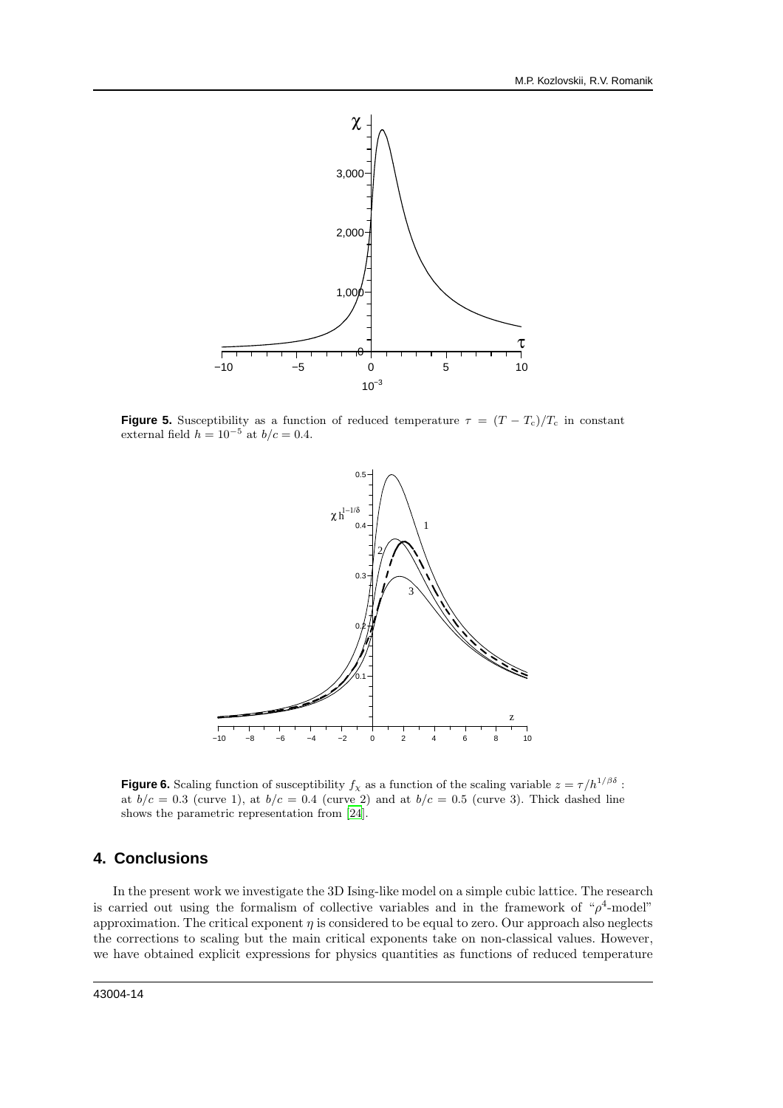

**Figure 5.** Susceptibility as a function of reduced temperature  $\tau = (T - T_c)/T_c$  in constant external field  $h = 10^{-5}$  at  $b/c = 0.4$ .

<span id="page-13-0"></span>

<span id="page-13-1"></span>**Figure 6.** Scaling function of susceptibility  $f_\chi$  as a function of the scaling variable  $z = \tau/h^{1/\beta\delta}$ : at  $b/c = 0.3$  (curve 1), at  $b/c = 0.4$  (curve 2) and at  $b/c = 0.5$  (curve 3). Thick dashed line shows the parametric representation from [\[24\]](#page-14-22).

# **4. Conclusions**

In the present work we investigate the 3D Ising-like model on a simple cubic lattice. The research is carried out using the formalism of collective variables and in the framework of " $\rho^4$ -model" approximation. The critical exponent  $\eta$  is considered to be equal to zero. Our approach also neglects the corrections to scaling but the main critical exponents take on non-classical values. However, we have obtained explicit expressions for physics quantities as functions of reduced temperature